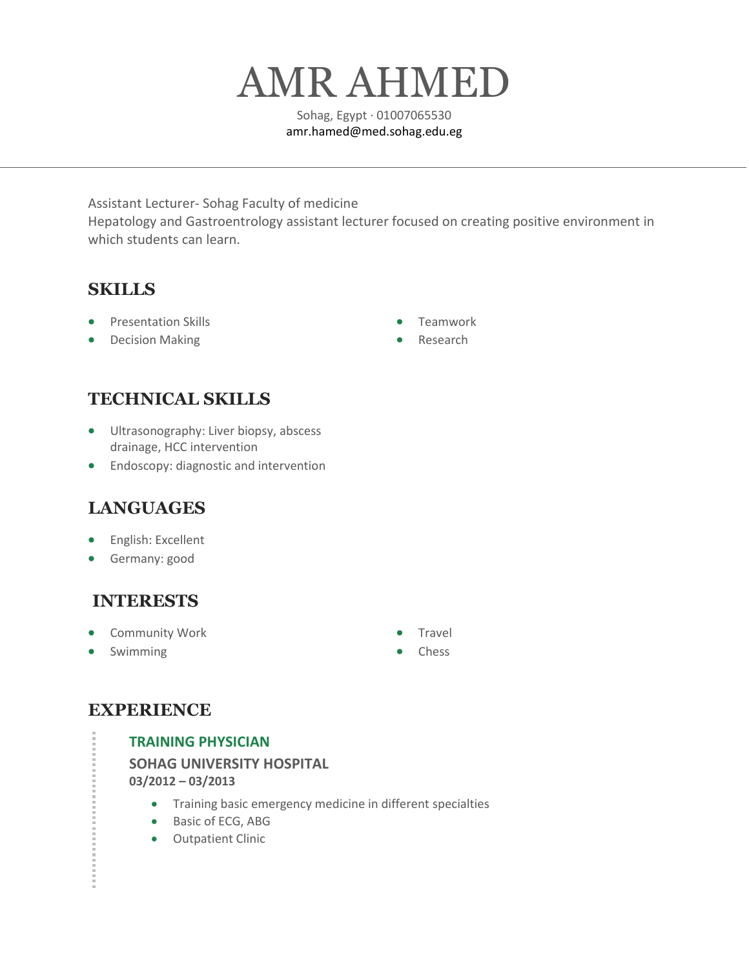# AMR AHMED

Sohag, Egypt · 01007065530 amr.hamed@med.sohag.edu.eg

Assistant Lecturer- Sohag Faculty of medicine Hepatology and Gastroentrology assistant lecturer focused on creating positive environment in which students can learn.

## **SKILLS**

- Presentation Skills
- Decision Making
- Teamwork
- **Research**

## **TECHNICAL SKILLS**

- Ultrasonography: Liver biopsy, abscess drainage, HCC intervention
- Endoscopy: diagnostic and intervention

## **LANGUAGES**

- English: Excellent
- Germany: good

## **INTERESTS**

- Community Work
- **Swimming**
- Travel
- **Chess**

## **EXPERIENCE**

## **TRAINING PHYSICIAN**

**SOHAG UNIVERSITY HOSPITAL 03/2012 – 03/2013**

- Training basic emergency medicine in different specialties
- Basic of ECG, ABG
- Outpatient Clinic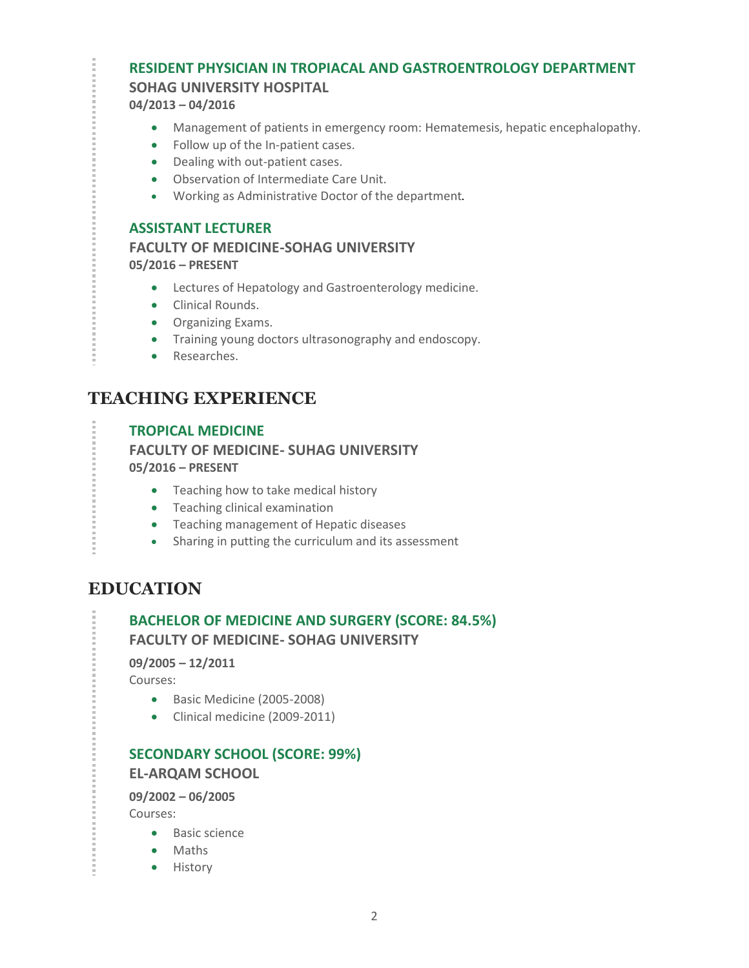## **RESIDENT PHYSICIAN IN TROPIACAL AND GASTROENTROLOGY DEPARTMENT**

## **SOHAG UNIVERSITY HOSPITAL**

**04/2013 – 04/2016**

- Management of patients in emergency room: Hematemesis, hepatic encephalopathy.
- Follow up of the In-patient cases.
- Dealing with out-patient cases.
- Observation of Intermediate Care Unit.
- Working as Administrative Doctor of the department.

#### **ASSISTANT LECTURER**

**FACULTY OF MEDICINE-SOHAG UNIVERSITY 05/2016 – PRESENT**

- Lectures of Hepatology and Gastroenterology medicine.
- Clinical Rounds.
- Organizing Exams.
- Training young doctors ultrasonography and endoscopy.
- Researches.

## **TEACHING EXPERIENCE**

### **TROPICAL MEDICINE FACULTY OF MEDICINE- SUHAG UNIVERSITY 05/2016 – PRESENT**

• Teaching how to take medical history

- Teaching clinical examination
- Teaching management of Hepatic diseases
- Sharing in putting the curriculum and its assessment

## **EDUCATION**

## **BACHELOR OF MEDICINE AND SURGERY (SCORE: 84.5%) FACULTY OF MEDICINE- SOHAG UNIVERSITY**

**09/2005 – 12/2011**

Courses:

- Basic Medicine (2005-2008)
- Clinical medicine (2009-2011)

## **SECONDARY SCHOOL (SCORE: 99%)**

#### **EL-ARQAM SCHOOL**

**09/2002 – 06/2005**

Courses:

- Basic science
- Maths
- History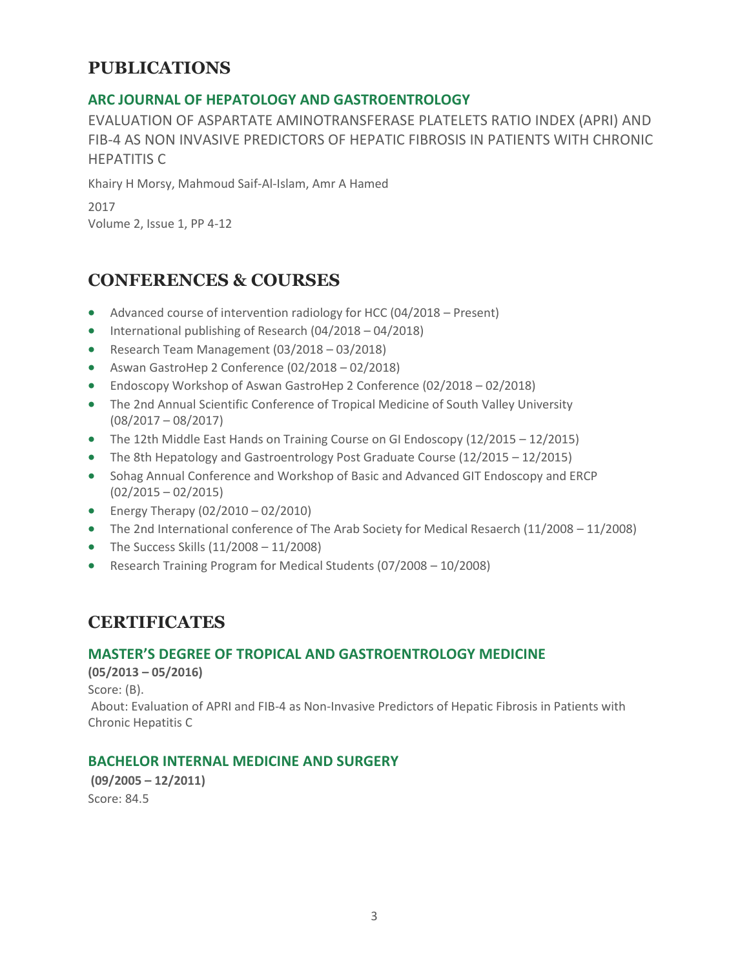## **PUBLICATIONS**

## **ARC JOURNAL OF HEPATOLOGY AND GASTROENTROLOGY**

EVALUATION OF ASPARTATE AMINOTRANSFERASE PLATELETS RATIO INDEX (APRI) AND FIB-4 AS NON INVASIVE PREDICTORS OF HEPATIC FIBROSIS IN PATIENTS WITH CHRONIC HEPATITIS C

Khairy H Morsy, Mahmoud Saif-Al-Islam, Amr A Hamed

2017 Volume 2, Issue 1, PP 4-12

## **CONFERENCES & COURSES**

- Advanced course of intervention radiology for HCC (04/2018 Present)
- International publishing of Research (04/2018 04/2018)
- Research Team Management (03/2018 03/2018)
- Aswan GastroHep 2 Conference (02/2018 02/2018)
- Endoscopy Workshop of Aswan GastroHep 2 Conference (02/2018 02/2018)
- The 2nd Annual Scientific Conference of Tropical Medicine of South Valley University (08/2017 – 08/2017)
- The 12th Middle East Hands on Training Course on GI Endoscopy (12/2015 12/2015)
- The 8th Hepatology and Gastroentrology Post Graduate Course (12/2015 12/2015)
- Sohag Annual Conference and Workshop of Basic and Advanced GIT Endoscopy and ERCP  $(02/2015 - 02/2015)$
- Energy Therapy  $(02/2010 02/2010)$
- The 2nd International conference of The Arab Society for Medical Resaerch (11/2008 11/2008)
- The Success Skills  $(11/2008 11/2008)$
- Research Training Program for Medical Students (07/2008 10/2008)

## **CERTIFICATES**

#### **MASTER'S DEGREE OF TROPICAL AND GASTROENTROLOGY MEDICINE**

**(05/2013 – 05/2016)**

Score: (B).

About: Evaluation of APRI and FIB-4 as Non-Invasive Predictors of Hepatic Fibrosis in Patients with Chronic Hepatitis C

## **BACHELOR INTERNAL MEDICINE AND SURGERY**

**(09/2005 – 12/2011)** Score: 84.5